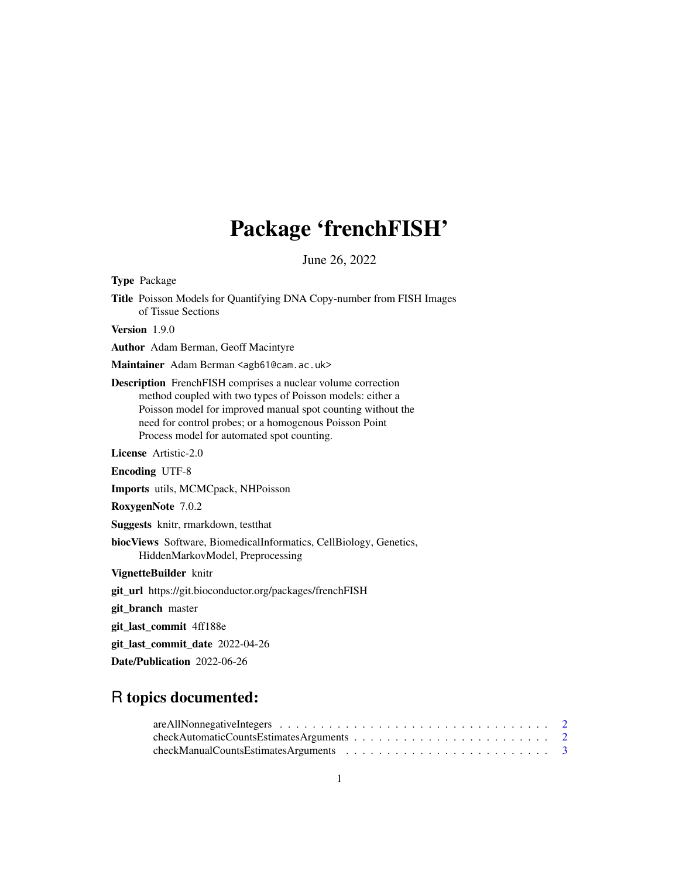## Package 'frenchFISH'

June 26, 2022

Type Package

Title Poisson Models for Quantifying DNA Copy-number from FISH Images of Tissue Sections

Version 1.9.0

Author Adam Berman, Geoff Macintyre

Maintainer Adam Berman <agb61@cam.ac.uk>

Description FrenchFISH comprises a nuclear volume correction method coupled with two types of Poisson models: either a Poisson model for improved manual spot counting without the need for control probes; or a homogenous Poisson Point Process model for automated spot counting.

License Artistic-2.0

Encoding UTF-8

Imports utils, MCMCpack, NHPoisson

RoxygenNote 7.0.2

Suggests knitr, rmarkdown, testthat

biocViews Software, BiomedicalInformatics, CellBiology, Genetics, HiddenMarkovModel, Preprocessing

VignetteBuilder knitr

git\_url https://git.bioconductor.org/packages/frenchFISH

git\_branch master

git\_last\_commit 4ff188e

git\_last\_commit\_date 2022-04-26

Date/Publication 2022-06-26

### R topics documented: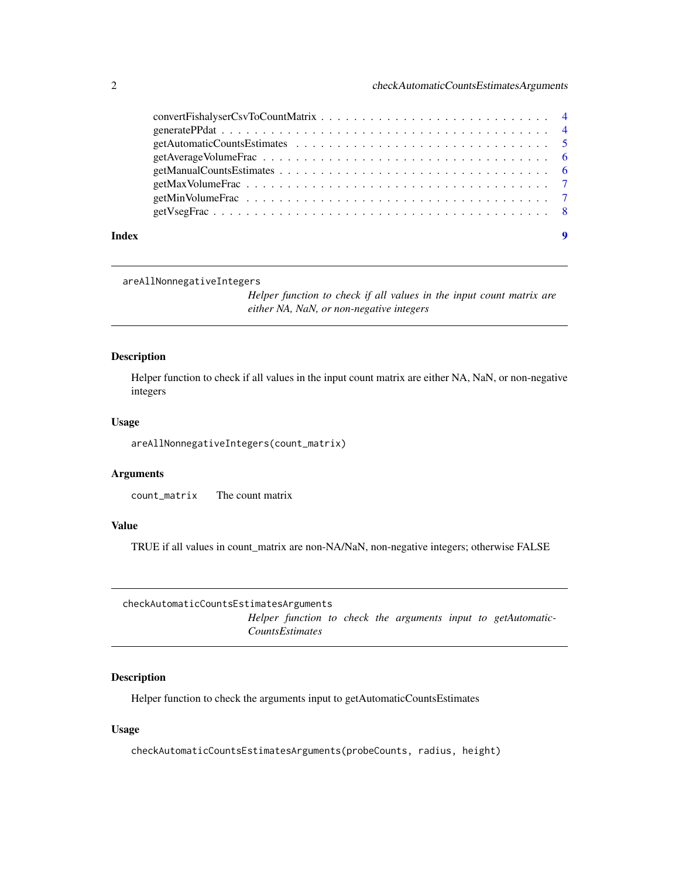<span id="page-1-0"></span>

| Index | 9 |
|-------|---|

#### areAllNonnegativeIntegers

*Helper function to check if all values in the input count matrix are either NA, NaN, or non-negative integers*

#### Description

Helper function to check if all values in the input count matrix are either NA, NaN, or non-negative integers

#### Usage

areAllNonnegativeIntegers(count\_matrix)

#### Arguments

count\_matrix The count matrix

#### Value

TRUE if all values in count\_matrix are non-NA/NaN, non-negative integers; otherwise FALSE

checkAutomaticCountsEstimatesArguments *Helper function to check the arguments input to getAutomatic-CountsEstimates*

#### Description

Helper function to check the arguments input to getAutomaticCountsEstimates

#### Usage

checkAutomaticCountsEstimatesArguments(probeCounts, radius, height)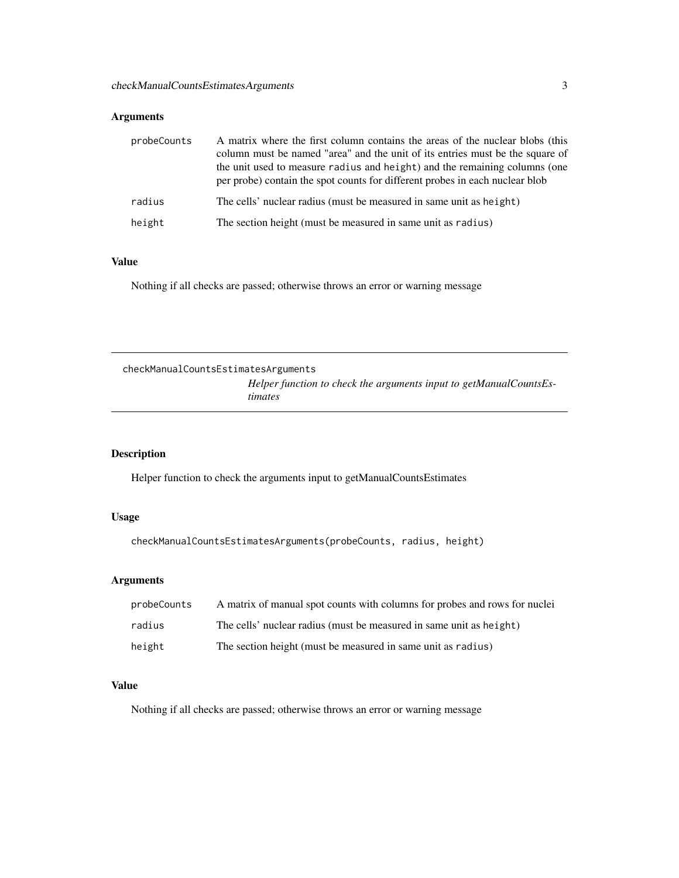#### <span id="page-2-0"></span>Arguments

| probeCounts | A matrix where the first column contains the areas of the nuclear blobs (this<br>column must be named "area" and the unit of its entries must be the square of<br>the unit used to measure radius and height) and the remaining columns (one<br>per probe) contain the spot counts for different probes in each nuclear blob |
|-------------|------------------------------------------------------------------------------------------------------------------------------------------------------------------------------------------------------------------------------------------------------------------------------------------------------------------------------|
| radius      | The cells' nuclear radius (must be measured in same unit as height)                                                                                                                                                                                                                                                          |
| height      | The section height (must be measured in same unit as radius)                                                                                                                                                                                                                                                                 |

#### Value

Nothing if all checks are passed; otherwise throws an error or warning message

checkManualCountsEstimatesArguments *Helper function to check the arguments input to getManualCountsEstimates*

#### Description

Helper function to check the arguments input to getManualCountsEstimates

#### Usage

checkManualCountsEstimatesArguments(probeCounts, radius, height)

#### Arguments

| probeCounts | A matrix of manual spot counts with columns for probes and rows for nuclei |
|-------------|----------------------------------------------------------------------------|
| radius      | The cells' nuclear radius (must be measured in same unit as height)        |
| height      | The section height (must be measured in same unit as radius)               |

#### Value

Nothing if all checks are passed; otherwise throws an error or warning message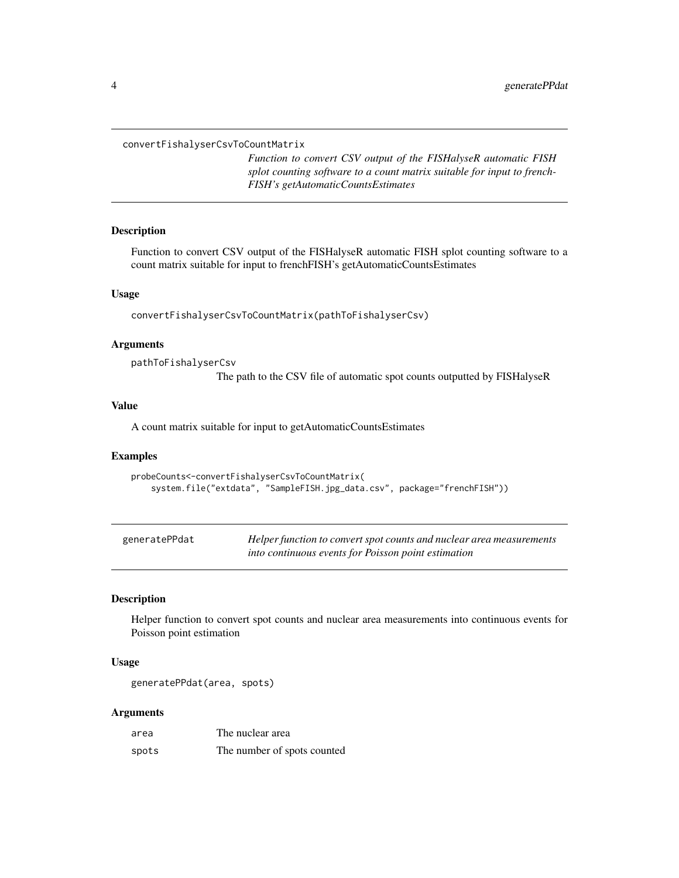<span id="page-3-0"></span>convertFishalyserCsvToCountMatrix

*Function to convert CSV output of the FISHalyseR automatic FISH splot counting software to a count matrix suitable for input to french-FISH's getAutomaticCountsEstimates*

#### Description

Function to convert CSV output of the FISHalyseR automatic FISH splot counting software to a count matrix suitable for input to frenchFISH's getAutomaticCountsEstimates

#### Usage

convertFishalyserCsvToCountMatrix(pathToFishalyserCsv)

#### **Arguments**

pathToFishalyserCsv

The path to the CSV file of automatic spot counts outputted by FISHalyseR

#### Value

A count matrix suitable for input to getAutomaticCountsEstimates

#### Examples

```
probeCounts<-convertFishalyserCsvToCountMatrix(
 system.file("extdata", "SampleFISH.jpg_data.csv", package="frenchFISH"))
```

| generatePPdat | Helper function to convert spot counts and nuclear area measurements |
|---------------|----------------------------------------------------------------------|
|               | into continuous events for Poisson point estimation                  |

#### Description

Helper function to convert spot counts and nuclear area measurements into continuous events for Poisson point estimation

#### Usage

```
generatePPdat(area, spots)
```
#### Arguments

| area  | The nuclear area            |
|-------|-----------------------------|
| spots | The number of spots counted |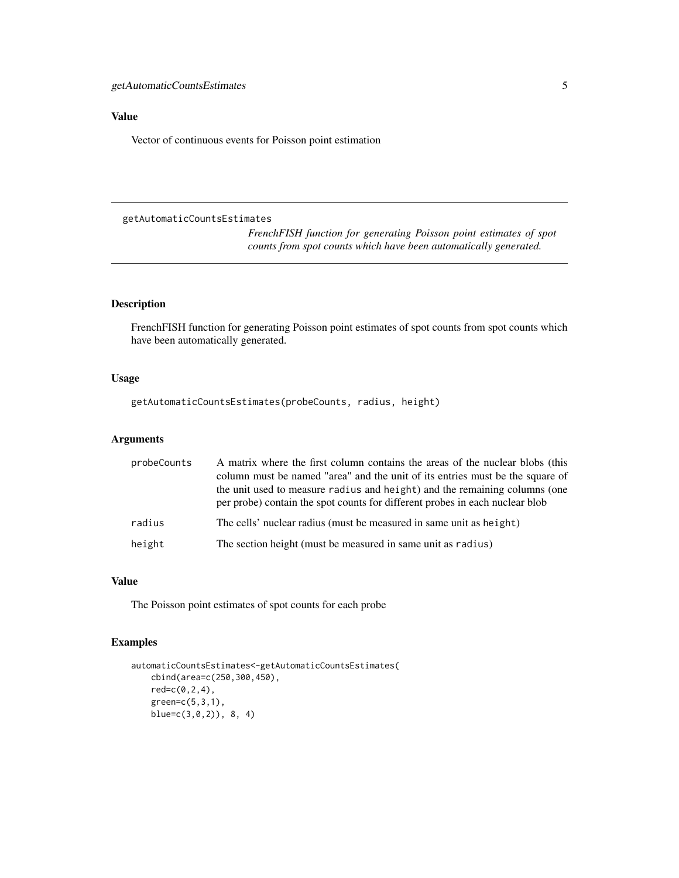#### <span id="page-4-0"></span>Value

Vector of continuous events for Poisson point estimation

```
getAutomaticCountsEstimates
```
*FrenchFISH function for generating Poisson point estimates of spot counts from spot counts which have been automatically generated.*

#### Description

FrenchFISH function for generating Poisson point estimates of spot counts from spot counts which have been automatically generated.

#### Usage

getAutomaticCountsEstimates(probeCounts, radius, height)

#### Arguments

| probeCounts | A matrix where the first column contains the areas of the nuclear blobs (this<br>column must be named "area" and the unit of its entries must be the square of<br>the unit used to measure radius and height) and the remaining columns (one<br>per probe) contain the spot counts for different probes in each nuclear blob |
|-------------|------------------------------------------------------------------------------------------------------------------------------------------------------------------------------------------------------------------------------------------------------------------------------------------------------------------------------|
| radius      | The cells' nuclear radius (must be measured in same unit as height)                                                                                                                                                                                                                                                          |
| height      | The section height (must be measured in same unit as radius)                                                                                                                                                                                                                                                                 |

#### Value

The Poisson point estimates of spot counts for each probe

#### Examples

```
automaticCountsEstimates<-getAutomaticCountsEstimates(
cbind(area=c(250,300,450),
red=c(0,2,4),green=c(5,3,1),
blue=c(3,0,2)), 8, 4)
```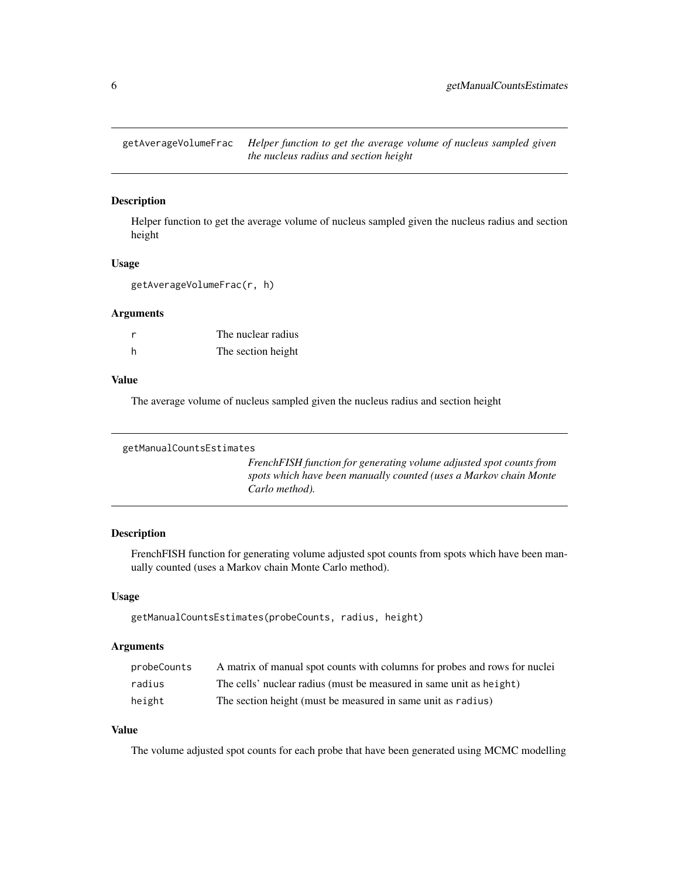<span id="page-5-0"></span>getAverageVolumeFrac *Helper function to get the average volume of nucleus sampled given the nucleus radius and section height*

#### Description

Helper function to get the average volume of nucleus sampled given the nucleus radius and section height

#### Usage

getAverageVolumeFrac(r, h)

#### Arguments

| r | The nuclear radius |
|---|--------------------|
| h | The section height |

#### Value

The average volume of nucleus sampled given the nucleus radius and section height

```
getManualCountsEstimates
```
*FrenchFISH function for generating volume adjusted spot counts from spots which have been manually counted (uses a Markov chain Monte Carlo method).*

#### Description

FrenchFISH function for generating volume adjusted spot counts from spots which have been manually counted (uses a Markov chain Monte Carlo method).

#### Usage

```
getManualCountsEstimates(probeCounts, radius, height)
```
#### Arguments

| probeCounts | A matrix of manual spot counts with columns for probes and rows for nuclei |
|-------------|----------------------------------------------------------------------------|
| radius      | The cells' nuclear radius (must be measured in same unit as height)        |
| height      | The section height (must be measured in same unit as radius)               |

#### Value

The volume adjusted spot counts for each probe that have been generated using MCMC modelling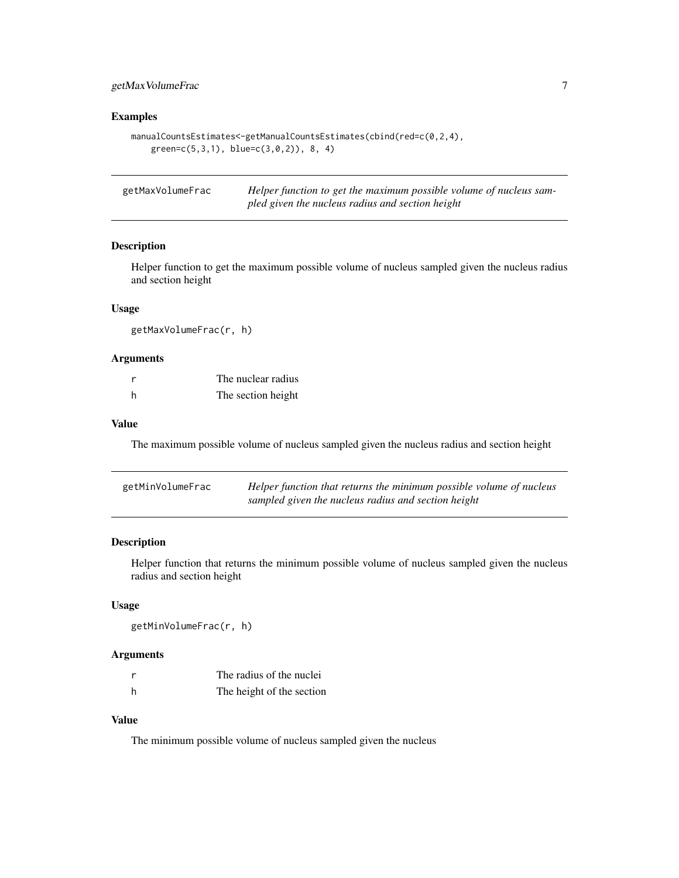#### <span id="page-6-0"></span>getMaxVolumeFrac 7

#### Examples

```
manualCountsEstimates<-getManualCountsEstimates(cbind(red=c(0,2,4),
green=c(5,3,1), blue=c(3,0,2)), 8, 4)
```

| getMaxVolumeFrac | Helper function to get the maximum possible volume of nucleus sam- |
|------------------|--------------------------------------------------------------------|
|                  | pled given the nucleus radius and section height                   |

#### Description

Helper function to get the maximum possible volume of nucleus sampled given the nucleus radius and section height

#### Usage

getMaxVolumeFrac(r, h)

#### Arguments

|     | The nuclear radius |
|-----|--------------------|
| - h | The section height |

#### Value

The maximum possible volume of nucleus sampled given the nucleus radius and section height

| getMinVolumeFrac | Helper function that returns the minimum possible volume of nucleus |
|------------------|---------------------------------------------------------------------|
|                  | sampled given the nucleus radius and section height                 |

#### Description

Helper function that returns the minimum possible volume of nucleus sampled given the nucleus radius and section height

#### Usage

```
getMinVolumeFrac(r, h)
```
#### Arguments

|   | The radius of the nuclei  |
|---|---------------------------|
| h | The height of the section |

#### Value

The minimum possible volume of nucleus sampled given the nucleus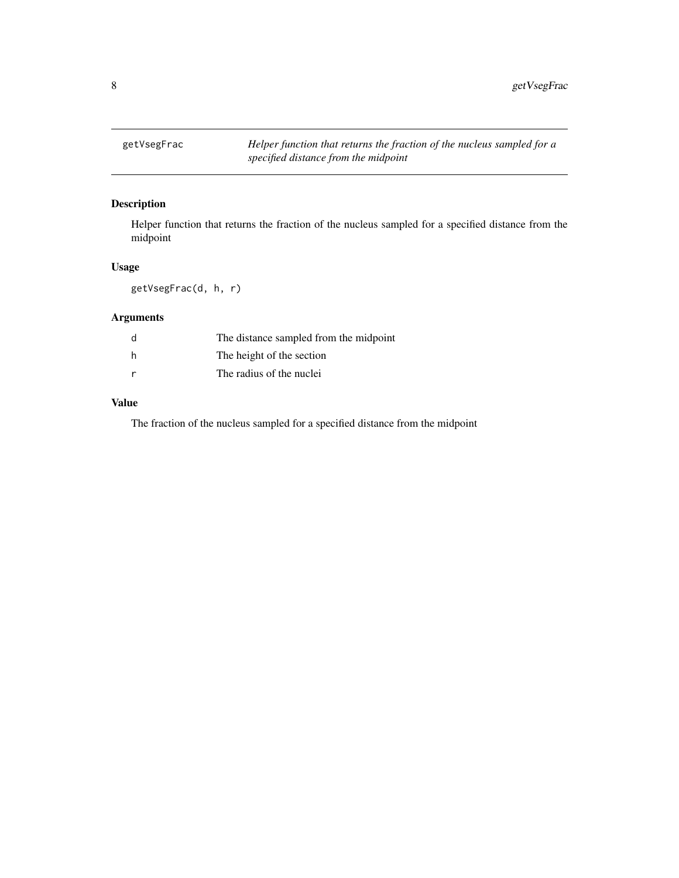<span id="page-7-0"></span>

#### Description

Helper function that returns the fraction of the nucleus sampled for a specified distance from the midpoint

#### Usage

getVsegFrac(d, h, r)

#### Arguments

| d   | The distance sampled from the midpoint |
|-----|----------------------------------------|
| h   | The height of the section              |
| - r | The radius of the nuclei               |

#### Value

The fraction of the nucleus sampled for a specified distance from the midpoint